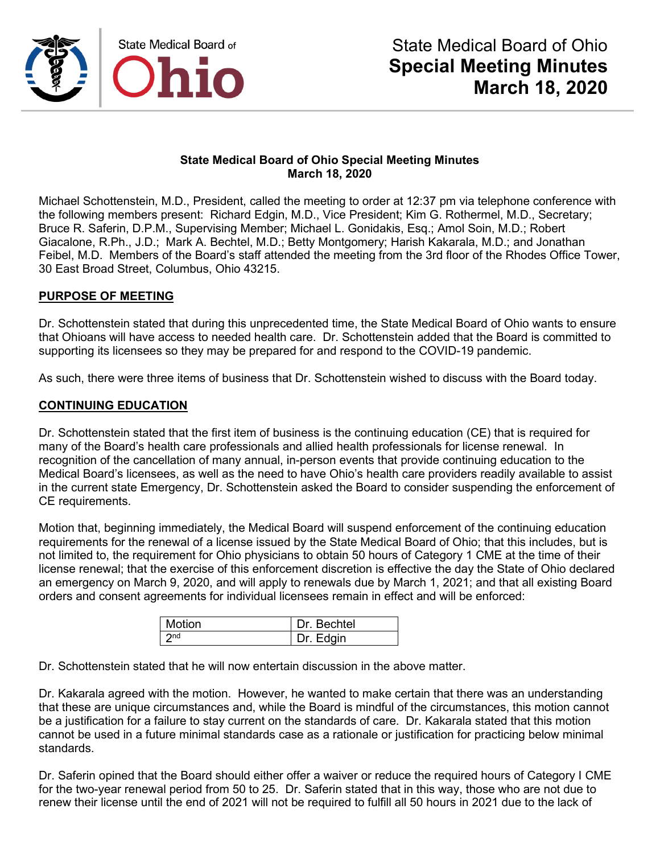

Michael Schottenstein, M.D., President, called the meeting to order at 12:37 pm via telephone conference with the following members present: Richard Edgin, M.D., Vice President; Kim G. Rothermel, M.D., Secretary; Bruce R. Saferin, D.P.M., Supervising Member; Michael L. Gonidakis, Esq.; Amol Soin, M.D.; Robert Giacalone, R.Ph., J.D.; Mark A. Bechtel, M.D.; Betty Montgomery; Harish Kakarala, M.D.; and Jonathan Feibel, M.D. Members of the Board's staff attended the meeting from the 3rd floor of the Rhodes Office Tower, 30 East Broad Street, Columbus, Ohio 43215.

#### **PURPOSE OF MEETING**

Dr. Schottenstein stated that during this unprecedented time, the State Medical Board of Ohio wants to ensure that Ohioans will have access to needed health care. Dr. Schottenstein added that the Board is committed to supporting its licensees so they may be prepared for and respond to the COVID-19 pandemic.

As such, there were three items of business that Dr. Schottenstein wished to discuss with the Board today.

#### **CONTINUING EDUCATION**

Dr. Schottenstein stated that the first item of business is the continuing education (CE) that is required for many of the Board's health care professionals and allied health professionals for license renewal. In recognition of the cancellation of many annual, in-person events that provide continuing education to the Medical Board's licensees, as well as the need to have Ohio's health care providers readily available to assist in the current state Emergency, Dr. Schottenstein asked the Board to consider suspending the enforcement of CE requirements.

Motion that, beginning immediately, the Medical Board will suspend enforcement of the continuing education requirements for the renewal of a license issued by the State Medical Board of Ohio; that this includes, but is not limited to, the requirement for Ohio physicians to obtain 50 hours of Category 1 CME at the time of their license renewal; that the exercise of this enforcement discretion is effective the day the State of Ohio declared an emergency on March 9, 2020, and will apply to renewals due by March 1, 2021; and that all existing Board orders and consent agreements for individual licensees remain in effect and will be enforced:

| Motion          | Dr. Bechtel |
|-----------------|-------------|
| 2 <sub>nd</sub> | Dr. Edgin   |

Dr. Schottenstein stated that he will now entertain discussion in the above matter.

Dr. Kakarala agreed with the motion. However, he wanted to make certain that there was an understanding that these are unique circumstances and, while the Board is mindful of the circumstances, this motion cannot be a justification for a failure to stay current on the standards of care. Dr. Kakarala stated that this motion cannot be used in a future minimal standards case as a rationale or justification for practicing below minimal standards.

Dr. Saferin opined that the Board should either offer a waiver or reduce the required hours of Category I CME for the two-year renewal period from 50 to 25. Dr. Saferin stated that in this way, those who are not due to renew their license until the end of 2021 will not be required to fulfill all 50 hours in 2021 due to the lack of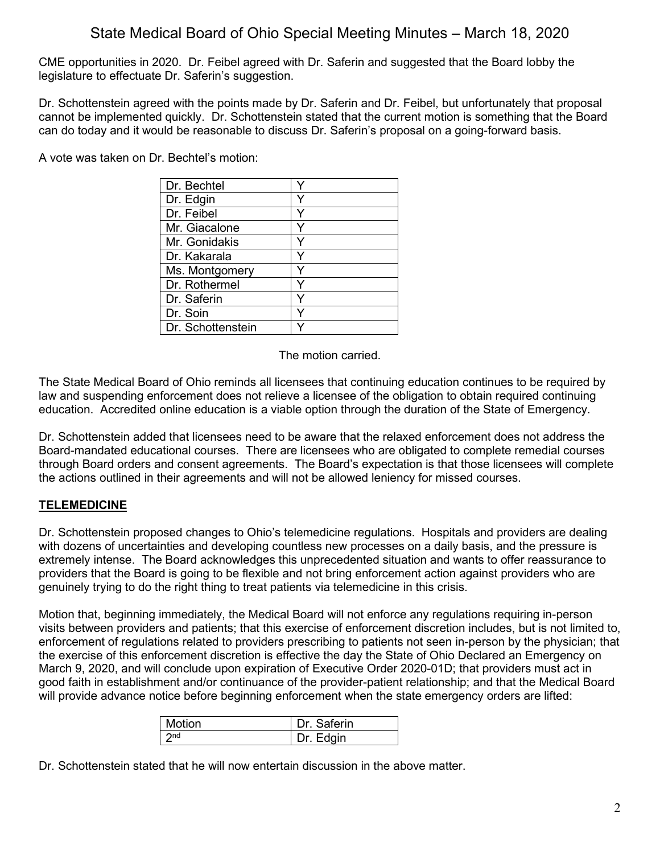CME opportunities in 2020. Dr. Feibel agreed with Dr. Saferin and suggested that the Board lobby the legislature to effectuate Dr. Saferin's suggestion.

Dr. Schottenstein agreed with the points made by Dr. Saferin and Dr. Feibel, but unfortunately that proposal cannot be implemented quickly. Dr. Schottenstein stated that the current motion is something that the Board can do today and it would be reasonable to discuss Dr. Saferin's proposal on a going-forward basis.

A vote was taken on Dr. Bechtel's motion:

| Dr. Bechtel       |   |
|-------------------|---|
| Dr. Edgin         |   |
| Dr. Feibel        | Y |
| Mr. Giacalone     |   |
| Mr. Gonidakis     |   |
| Dr. Kakarala      |   |
| Ms. Montgomery    |   |
| Dr. Rothermel     |   |
| Dr. Saferin       |   |
| Dr. Soin          |   |
| Dr. Schottenstein |   |

The motion carried.

The State Medical Board of Ohio reminds all licensees that continuing education continues to be required by law and suspending enforcement does not relieve a licensee of the obligation to obtain required continuing education. Accredited online education is a viable option through the duration of the State of Emergency.

Dr. Schottenstein added that licensees need to be aware that the relaxed enforcement does not address the Board-mandated educational courses. There are licensees who are obligated to complete remedial courses through Board orders and consent agreements. The Board's expectation is that those licensees will complete the actions outlined in their agreements and will not be allowed leniency for missed courses.

## **TELEMEDICINE**

Dr. Schottenstein proposed changes to Ohio's telemedicine regulations. Hospitals and providers are dealing with dozens of uncertainties and developing countless new processes on a daily basis, and the pressure is extremely intense. The Board acknowledges this unprecedented situation and wants to offer reassurance to providers that the Board is going to be flexible and not bring enforcement action against providers who are genuinely trying to do the right thing to treat patients via telemedicine in this crisis.

Motion that, beginning immediately, the Medical Board will not enforce any regulations requiring in-person visits between providers and patients; that this exercise of enforcement discretion includes, but is not limited to, enforcement of regulations related to providers prescribing to patients not seen in-person by the physician; that the exercise of this enforcement discretion is effective the day the State of Ohio Declared an Emergency on March 9, 2020, and will conclude upon expiration of Executive Order 2020-01D; that providers must act in good faith in establishment and/or continuance of the provider-patient relationship; and that the Medical Board will provide advance notice before beginning enforcement when the state emergency orders are lifted:

| Motion          | Dr. Saferin |
|-----------------|-------------|
| 2 <sub>nd</sub> | Dr. Edgin   |

Dr. Schottenstein stated that he will now entertain discussion in the above matter.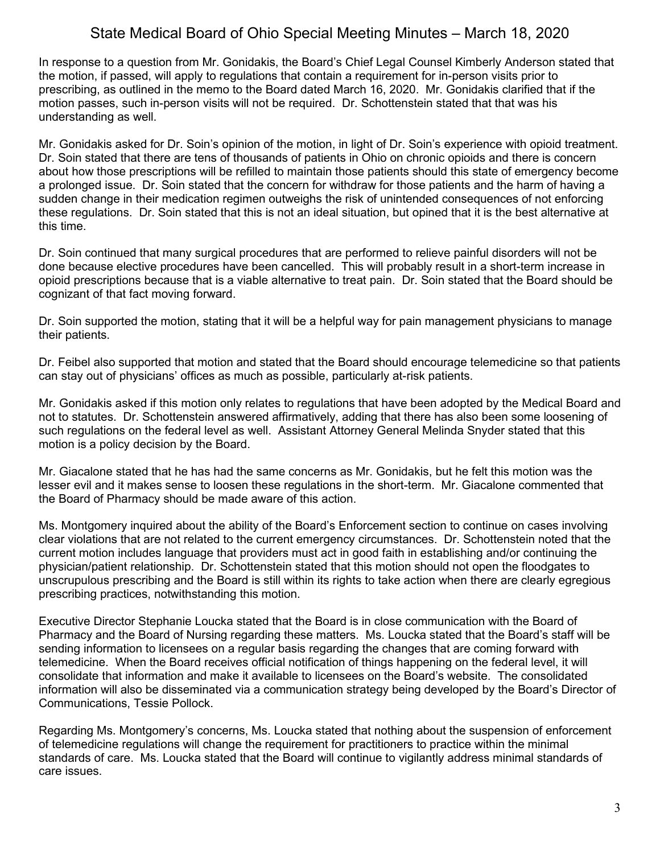In response to a question from Mr. Gonidakis, the Board's Chief Legal Counsel Kimberly Anderson stated that the motion, if passed, will apply to regulations that contain a requirement for in-person visits prior to prescribing, as outlined in the memo to the Board dated March 16, 2020. Mr. Gonidakis clarified that if the motion passes, such in-person visits will not be required. Dr. Schottenstein stated that that was his understanding as well.

Mr. Gonidakis asked for Dr. Soin's opinion of the motion, in light of Dr. Soin's experience with opioid treatment. Dr. Soin stated that there are tens of thousands of patients in Ohio on chronic opioids and there is concern about how those prescriptions will be refilled to maintain those patients should this state of emergency become a prolonged issue. Dr. Soin stated that the concern for withdraw for those patients and the harm of having a sudden change in their medication regimen outweighs the risk of unintended consequences of not enforcing these regulations. Dr. Soin stated that this is not an ideal situation, but opined that it is the best alternative at this time.

Dr. Soin continued that many surgical procedures that are performed to relieve painful disorders will not be done because elective procedures have been cancelled. This will probably result in a short-term increase in opioid prescriptions because that is a viable alternative to treat pain. Dr. Soin stated that the Board should be cognizant of that fact moving forward.

Dr. Soin supported the motion, stating that it will be a helpful way for pain management physicians to manage their patients.

Dr. Feibel also supported that motion and stated that the Board should encourage telemedicine so that patients can stay out of physicians' offices as much as possible, particularly at-risk patients.

Mr. Gonidakis asked if this motion only relates to regulations that have been adopted by the Medical Board and not to statutes. Dr. Schottenstein answered affirmatively, adding that there has also been some loosening of such regulations on the federal level as well. Assistant Attorney General Melinda Snyder stated that this motion is a policy decision by the Board.

Mr. Giacalone stated that he has had the same concerns as Mr. Gonidakis, but he felt this motion was the lesser evil and it makes sense to loosen these regulations in the short-term. Mr. Giacalone commented that the Board of Pharmacy should be made aware of this action.

Ms. Montgomery inquired about the ability of the Board's Enforcement section to continue on cases involving clear violations that are not related to the current emergency circumstances. Dr. Schottenstein noted that the current motion includes language that providers must act in good faith in establishing and/or continuing the physician/patient relationship. Dr. Schottenstein stated that this motion should not open the floodgates to unscrupulous prescribing and the Board is still within its rights to take action when there are clearly egregious prescribing practices, notwithstanding this motion.

Executive Director Stephanie Loucka stated that the Board is in close communication with the Board of Pharmacy and the Board of Nursing regarding these matters. Ms. Loucka stated that the Board's staff will be sending information to licensees on a regular basis regarding the changes that are coming forward with telemedicine. When the Board receives official notification of things happening on the federal level, it will consolidate that information and make it available to licensees on the Board's website. The consolidated information will also be disseminated via a communication strategy being developed by the Board's Director of Communications, Tessie Pollock.

Regarding Ms. Montgomery's concerns, Ms. Loucka stated that nothing about the suspension of enforcement of telemedicine regulations will change the requirement for practitioners to practice within the minimal standards of care. Ms. Loucka stated that the Board will continue to vigilantly address minimal standards of care issues.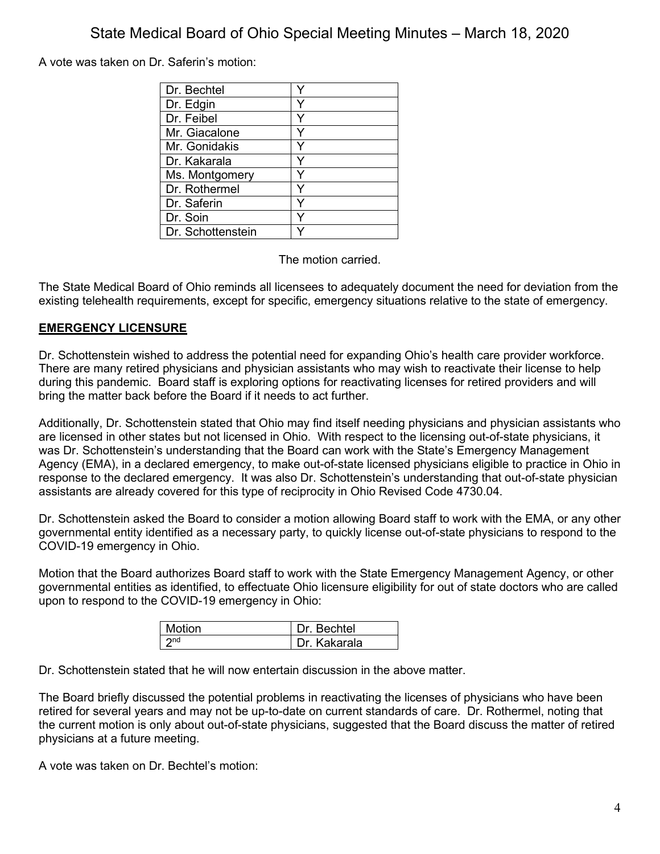A vote was taken on Dr. Saferin's motion:

| Dr. Bechtel       |   |
|-------------------|---|
| Dr. Edgin         | Y |
| Dr. Feibel        | Y |
| Mr. Giacalone     |   |
| Mr. Gonidakis     | Y |
| Dr. Kakarala      | ٧ |
| Ms. Montgomery    |   |
| Dr. Rothermel     |   |
| Dr. Saferin       | v |
| Dr. Soin          |   |
| Dr. Schottenstein |   |

The motion carried.

The State Medical Board of Ohio reminds all licensees to adequately document the need for deviation from the existing telehealth requirements, except for specific, emergency situations relative to the state of emergency.

### **EMERGENCY LICENSURE**

Dr. Schottenstein wished to address the potential need for expanding Ohio's health care provider workforce. There are many retired physicians and physician assistants who may wish to reactivate their license to help during this pandemic. Board staff is exploring options for reactivating licenses for retired providers and will bring the matter back before the Board if it needs to act further.

Additionally, Dr. Schottenstein stated that Ohio may find itself needing physicians and physician assistants who are licensed in other states but not licensed in Ohio. With respect to the licensing out-of-state physicians, it was Dr. Schottenstein's understanding that the Board can work with the State's Emergency Management Agency (EMA), in a declared emergency, to make out-of-state licensed physicians eligible to practice in Ohio in response to the declared emergency. It was also Dr. Schottenstein's understanding that out-of-state physician assistants are already covered for this type of reciprocity in Ohio Revised Code 4730.04.

Dr. Schottenstein asked the Board to consider a motion allowing Board staff to work with the EMA, or any other governmental entity identified as a necessary party, to quickly license out-of-state physicians to respond to the COVID-19 emergency in Ohio.

Motion that the Board authorizes Board staff to work with the State Emergency Management Agency, or other governmental entities as identified, to effectuate Ohio licensure eligibility for out of state doctors who are called upon to respond to the COVID-19 emergency in Ohio:

| <b>Motion</b>   | Dr. Bechtel  |
|-----------------|--------------|
| 2 <sub>nd</sub> | Dr. Kakarala |

Dr. Schottenstein stated that he will now entertain discussion in the above matter.

The Board briefly discussed the potential problems in reactivating the licenses of physicians who have been retired for several years and may not be up-to-date on current standards of care. Dr. Rothermel, noting that the current motion is only about out-of-state physicians, suggested that the Board discuss the matter of retired physicians at a future meeting.

A vote was taken on Dr. Bechtel's motion: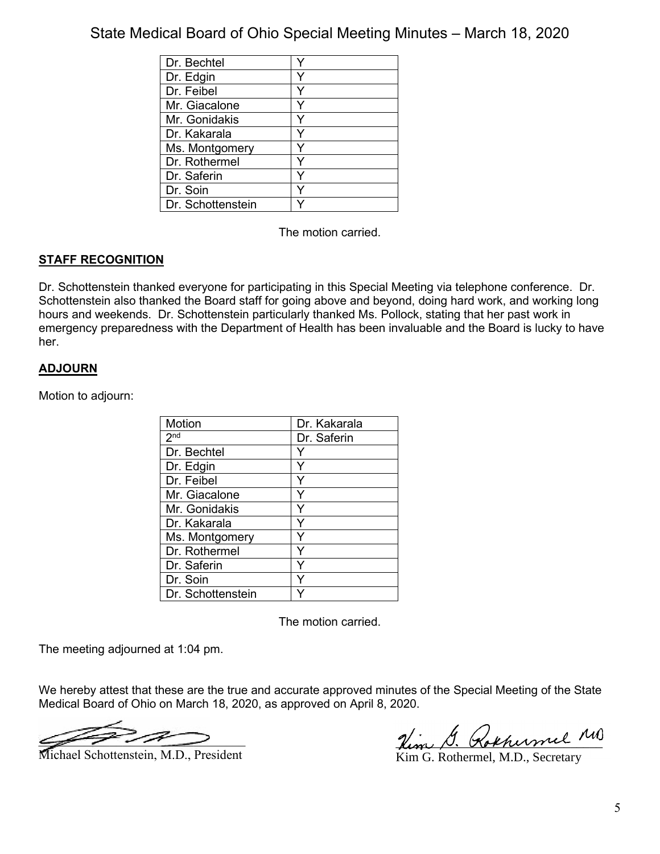| Dr. Bechtel       |   |
|-------------------|---|
| Dr. Edgin         |   |
| Dr. Feibel        | ∨ |
| Mr. Giacalone     |   |
| Mr. Gonidakis     |   |
| Dr. Kakarala      |   |
| Ms. Montgomery    |   |
| Dr. Rothermel     |   |
| Dr. Saferin       |   |
| Dr. Soin          |   |
| Dr. Schottenstein |   |

The motion carried.

### **STAFF RECOGNITION**

Dr. Schottenstein thanked everyone for participating in this Special Meeting via telephone conference. Dr. Schottenstein also thanked the Board staff for going above and beyond, doing hard work, and working long hours and weekends. Dr. Schottenstein particularly thanked Ms. Pollock, stating that her past work in emergency preparedness with the Department of Health has been invaluable and the Board is lucky to have her.

### **ADJOURN**

Motion to adjourn:

| <b>Motion</b>     | Dr. Kakarala |
|-------------------|--------------|
| 2 <sup>nd</sup>   | Dr. Saferin  |
| Dr. Bechtel       |              |
| Dr. Edgin         |              |
| Dr. Feibel        |              |
| Mr. Giacalone     |              |
| Mr. Gonidakis     |              |
| Dr. Kakarala      | v            |
| Ms. Montgomery    |              |
| Dr. Rothermel     |              |
| Dr. Saferin       |              |
| Dr. Soin          |              |
| Dr. Schottenstein |              |

The motion carried.

The meeting adjourned at 1:04 pm.

We hereby attest that these are the true and accurate approved minutes of the Special Meeting of the State Medical Board of Ohio on March 18, 2020, as approved on April 8, 2020.

The Term of the Michael Schottenstein, M.D., President Term of the Min G. Rothermel, M.D., Secretary

Kim G. Rothermel, M.D., Secretary